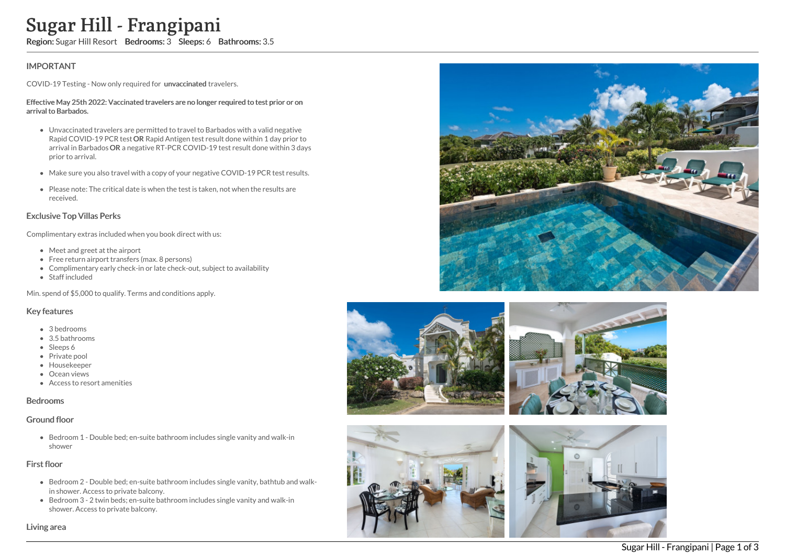# Sugar Hill - Frangipani

Region: Sugar Hill Resort Bedrooms: 3 Sleeps: 6 Bathrooms: 3.5

## IMPORTANT

COVID-19 Testing - Now only required for unvaccinated travelers.

#### Effective May 25th 2022: Vaccinated travelers are no longer required to test prior or on arrival to Barbados.

- Unvaccinated travelers are permitted to travel to Barbados with a valid negative Rapid COVID-19 PCR test OR Rapid Antigen test result done within 1 day prior to arrival in Barbados OR a negative RT-PCR COVID-19 test result done within 3 days prior to arrival.
- Make sure you also travel with a copy of your negative COVID-19 PCR test results.
- Please note: The critical date is when the test is taken, not when the results are received.

#### Exclusive Top Villas Perks

Complimentary extras included when you book direct with us:

- Meet and greet at the airport
- Free return airport transfers (max. 8 persons)
- Complimentary early check-in or late check-out, subject to availability
- Staff included

Min. spend of \$5,000 to qualify. Terms and conditions apply.

#### Key features

- 3 bedrooms
- 3.5 bathrooms
- Sleeps 6
- Private pool
- Housekeeper
- Ocean views
- Access to resort amenities

#### Bedrooms

#### Ground floor

Bedroom 1 - Double bed; en-suite bathroom includes single vanity and walk-in shower

#### First floor

- Bedroom 2 Double bed; en-suite bathroom includes single vanity, bathtub and walkin shower. Access to private balcony.
- Bedroom 3 2 twin beds; en-suite bathroom includes single vanity and walk-in shower. Access to private balcony.





Sugar Hill - Frangipani | Page 1 of 3

Living area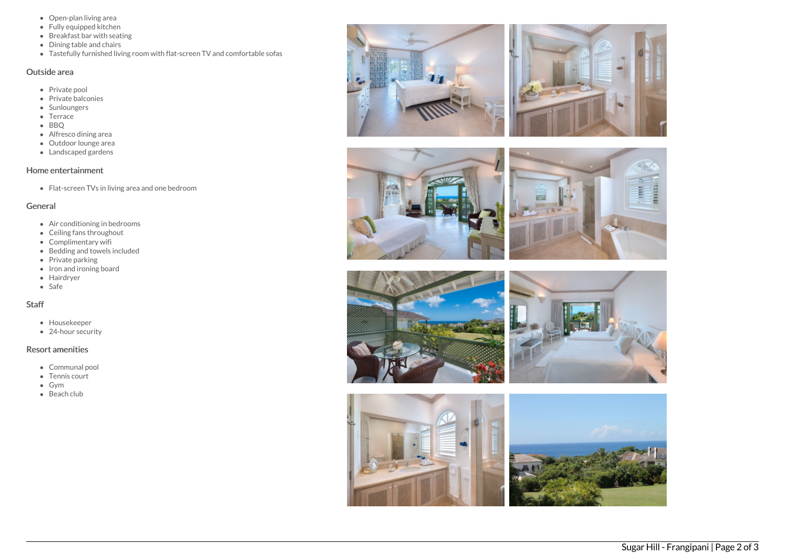- Open-plan living area
- Fully equipped kitchen
- Breakfast bar with seating
- Dining table and chairs
- Tastefully furnished living room with flat-screen TV and comfortable sofas

### Outside area

- Private pool
- Private balconies
- Sunloungers
- Terrace
- BBQ
- Alfresco dining area
- Outdoor lounge area
- Landscaped gardens

# Home entertainment

Flat-screen TVs in living area and one bedroom

### General

- Air conditioning in bedrooms
- Ceiling fans throughout
- Complimentary wifi
- Bedding and towels included
- $\bullet$  Private parking
- Iron and ironing board
- Hairdryer
- Safe

# Staff

- Housekeeper
- 24-hour security

## Resort amenities

- Communal pool
- Tennis court
- Gym
- Beach club